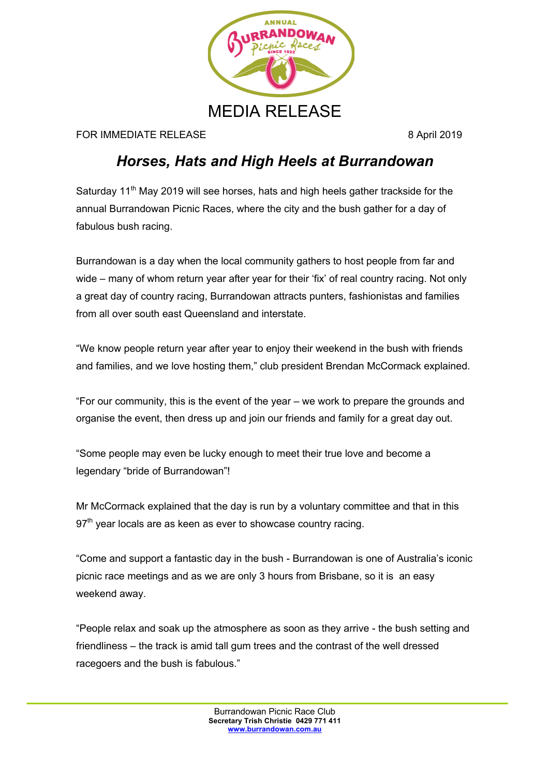

FOR IMMEDIATE RELEASE 8 April 2019

## *Horses, Hats and High Heels at Burrandowan*

Saturday 11<sup>th</sup> May 2019 will see horses, hats and high heels gather trackside for the annual Burrandowan Picnic Races, where the city and the bush gather for a day of fabulous bush racing.

Burrandowan is a day when the local community gathers to host people from far and wide – many of whom return year after year for their 'fix' of real country racing. Not only a great day of country racing, Burrandowan attracts punters, fashionistas and families from all over south east Queensland and interstate.

"We know people return year after year to enjoy their weekend in the bush with friends and families, and we love hosting them," club president Brendan McCormack explained.

"For our community, this is the event of the year – we work to prepare the grounds and organise the event, then dress up and join our friends and family for a great day out.

"Some people may even be lucky enough to meet their true love and become a legendary "bride of Burrandowan"!

Mr McCormack explained that the day is run by a voluntary committee and that in this  $97<sup>th</sup>$  year locals are as keen as ever to showcase country racing.

"Come and support a fantastic day in the bush - Burrandowan is one of Australia's iconic picnic race meetings and as we are only 3 hours from Brisbane, so it is an easy weekend away.

"People relax and soak up the atmosphere as soon as they arrive - the bush setting and friendliness – the track is amid tall gum trees and the contrast of the well dressed racegoers and the bush is fabulous."